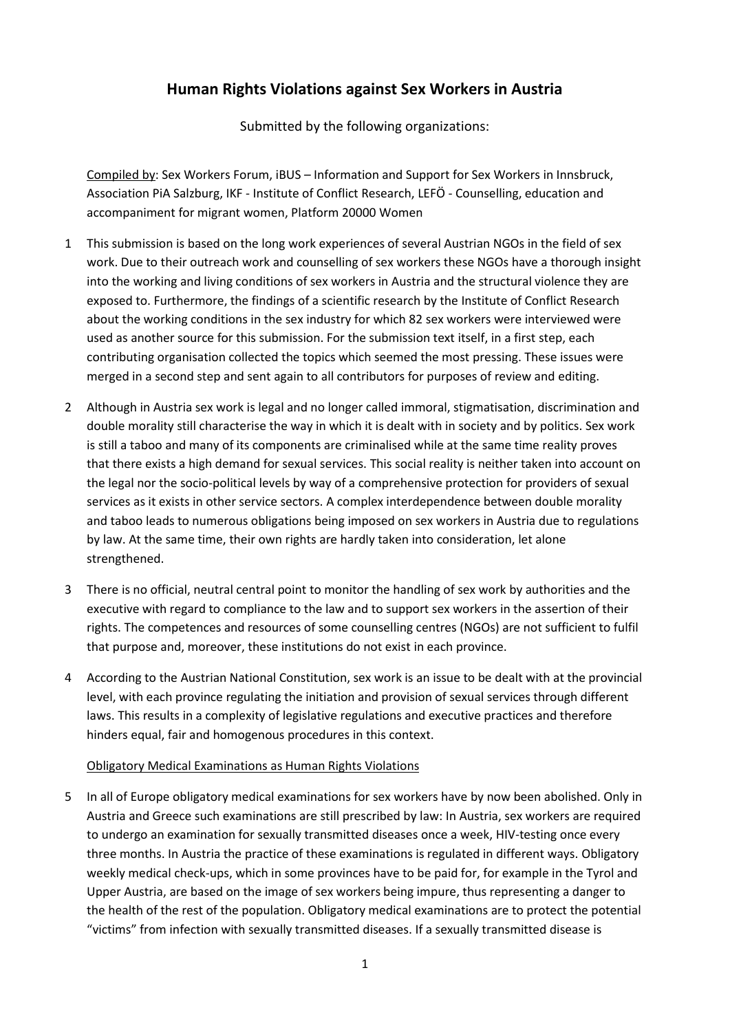# **Human Rights Violations against Sex Workers in Austria**

Submitted by the following organizations:

Compiled by: Sex Workers Forum, iBUS – Information and Support for Sex Workers in Innsbruck, Association PiA Salzburg, IKF - Institute of Conflict Research, LEFÖ - Counselling, education and accompaniment for migrant women, Platform 20000 Women

- 1 This submission is based on the long work experiences of several Austrian NGOs in the field of sex work. Due to their outreach work and counselling of sex workers these NGOs have a thorough insight into the working and living conditions of sex workers in Austria and the structural violence they are exposed to. Furthermore, the findings of a scientific research by the Institute of Conflict Research about the working conditions in the sex industry for which 82 sex workers were interviewed were used as another source for this submission. For the submission text itself, in a first step, each contributing organisation collected the topics which seemed the most pressing. These issues were merged in a second step and sent again to all contributors for purposes of review and editing.
- 2 Although in Austria sex work is legal and no longer called immoral, stigmatisation, discrimination and double morality still characterise the way in which it is dealt with in society and by politics. Sex work is still a taboo and many of its components are criminalised while at the same time reality proves that there exists a high demand for sexual services. This social reality is neither taken into account on the legal nor the socio-political levels by way of a comprehensive protection for providers of sexual services as it exists in other service sectors. A complex interdependence between double morality and taboo leads to numerous obligations being imposed on sex workers in Austria due to regulations by law. At the same time, their own rights are hardly taken into consideration, let alone strengthened.
- 3 There is no official, neutral central point to monitor the handling of sex work by authorities and the executive with regard to compliance to the law and to support sex workers in the assertion of their rights. The competences and resources of some counselling centres (NGOs) are not sufficient to fulfil that purpose and, moreover, these institutions do not exist in each province.
- 4 According to the Austrian National Constitution, sex work is an issue to be dealt with at the provincial level, with each province regulating the initiation and provision of sexual services through different laws. This results in a complexity of legislative regulations and executive practices and therefore hinders equal, fair and homogenous procedures in this context.

# Obligatory Medical Examinations as Human Rights Violations

5 In all of Europe obligatory medical examinations for sex workers have by now been abolished. Only in Austria and Greece such examinations are still prescribed by law: In Austria, sex workers are required to undergo an examination for sexually transmitted diseases once a week, HIV-testing once every three months. In Austria the practice of these examinations is regulated in different ways. Obligatory weekly medical check-ups, which in some provinces have to be paid for, for example in the Tyrol and Upper Austria, are based on the image of sex workers being impure, thus representing a danger to the health of the rest of the population. Obligatory medical examinations are to protect the potential "victims" from infection with sexually transmitted diseases. If a sexually transmitted disease is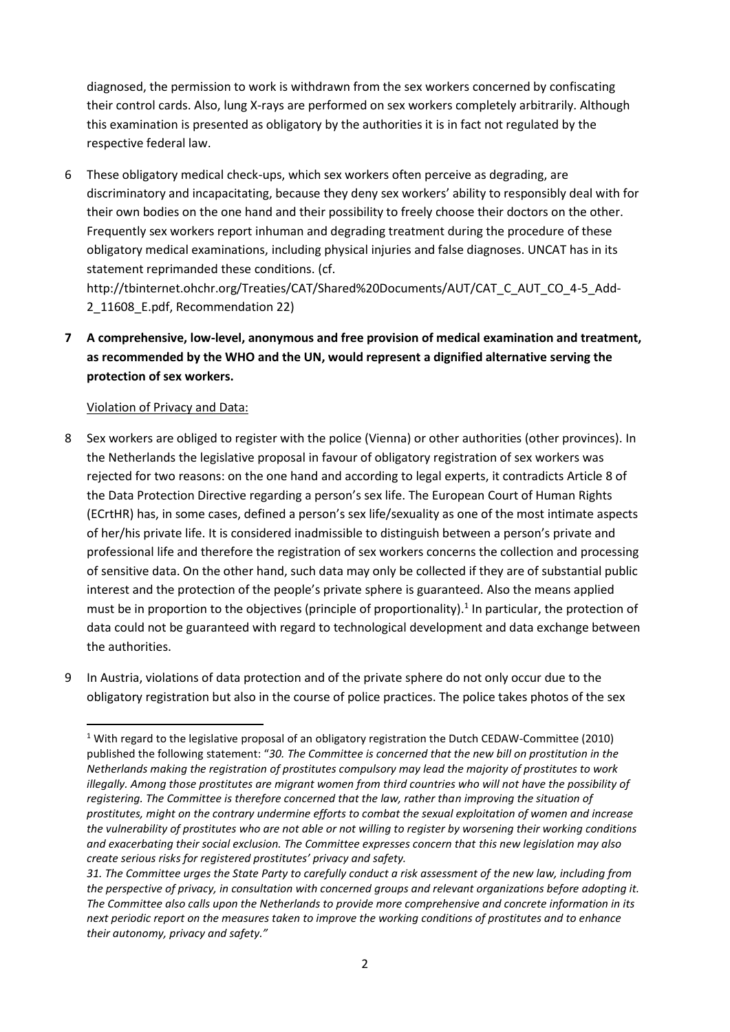diagnosed, the permission to work is withdrawn from the sex workers concerned by confiscating their control cards. Also, lung X-rays are performed on sex workers completely arbitrarily. Although this examination is presented as obligatory by the authorities it is in fact not regulated by the respective federal law.

6 These obligatory medical check-ups, which sex workers often perceive as degrading, are discriminatory and incapacitating, because they deny sex workers' ability to responsibly deal with for their own bodies on the one hand and their possibility to freely choose their doctors on the other. Frequently sex workers report inhuman and degrading treatment during the procedure of these obligatory medical examinations, including physical injuries and false diagnoses. UNCAT has in its statement reprimanded these conditions. (cf.

[http://tbinternet.ohchr.org/Treaties/CAT/Shared%20Documents/AUT/CAT\\_C\\_AUT\\_CO\\_4-5\\_Add-](http://tbinternet.ohchr.org/Treaties/CAT/Shared%20Documents/AUT/CAT_C_AUT_CO_4-5_Add-2_11608_E.pdf)2 11608 E.pdf, Recommendation 22)

**7 A comprehensive, low-level, anonymous and free provision of medical examination and treatment, as recommended by the WHO and the UN, would represent a dignified alternative serving the protection of sex workers.**

# Violation of Privacy and Data:

**.** 

- 8 Sex workers are obliged to register with the police (Vienna) or other authorities (other provinces). In the Netherlands the legislative proposal in favour of obligatory registration of sex workers was rejected for two reasons: on the one hand and according to legal experts, it contradicts Article 8 of the Data Protection Directive regarding a person's sex life. The European Court of Human Rights (ECrtHR) has, in some cases, defined a person's sex life/sexuality as one of the most intimate aspects of her/his private life. It is considered inadmissible to distinguish between a person's private and professional life and therefore the registration of sex workers concerns the collection and processing of sensitive data. On the other hand, such data may only be collected if they are of substantial public interest and the protection of the people's private sphere is guaranteed. Also the means applied must be in proportion to the objectives (principle of proportionality).<sup>1</sup> In particular, the protection of data could not be guaranteed with regard to technological development and data exchange between the authorities.
- 9 In Austria, violations of data protection and of the private sphere do not only occur due to the obligatory registration but also in the course of police practices. The police takes photos of the sex

<sup>1</sup> With regard to the legislative proposal of an obligatory registration the Dutch CEDAW-Committee (2010) published the following statement: "*30. The Committee is concerned that the new bill on prostitution in the Netherlands making the registration of prostitutes compulsory may lead the majority of prostitutes to work illegally. Among those prostitutes are migrant women from third countries who will not have the possibility of registering. The Committee is therefore concerned that the law, rather than improving the situation of prostitutes, might on the contrary undermine efforts to combat the sexual exploitation of women and increase the vulnerability of prostitutes who are not able or not willing to register by worsening their working conditions and exacerbating their social exclusion. The Committee expresses concern that this new legislation may also create serious risks for registered prostitutes' privacy and safety.*

*<sup>31.</sup> The Committee urges the State Party to carefully conduct a risk assessment of the new law, including from the perspective of privacy, in consultation with concerned groups and relevant organizations before adopting it. The Committee also calls upon the Netherlands to provide more comprehensive and concrete information in its next periodic report on the measures taken to improve the working conditions of prostitutes and to enhance their autonomy, privacy and safety."*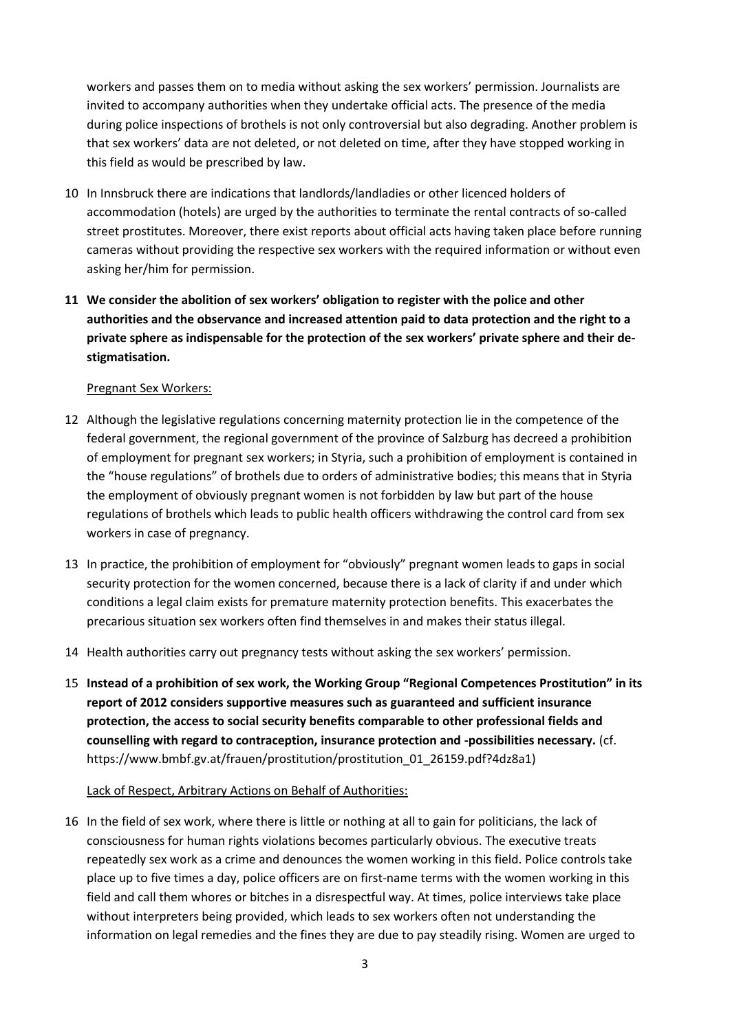workers and passes them on to media without asking the sex workers' permission. Journalists are invited to accompany authorities when they undertake official acts. The presence of the media during police inspections of brothels is not only controversial but also degrading. Another problem is that sex workers' data are not deleted, or not deleted on time, after they have stopped working in this field as would be prescribed by law.

- 10 In Innsbruck there are indications that landlords/landladies or other licenced holders of accommodation (hotels) are urged by the authorities to terminate the rental contracts of so-called street prostitutes. Moreover, there exist reports about official acts having taken place before running cameras without providing the respective sex workers with the required information or without even asking her/him for permission.
- **11 We consider the abolition of sex workers' obligation to register with the police and other authorities and the observance and increased attention paid to data protection and the right to a private sphere as indispensable for the protection of the sex workers' private sphere and their destigmatisation.**

## Pregnant Sex Workers:

- 12 Although the legislative regulations concerning maternity protection lie in the competence of the federal government, the regional government of the province of Salzburg has decreed a prohibition of employment for pregnant sex workers; in Styria, such a prohibition of employment is contained in the "house regulations" of brothels due to orders of administrative bodies; this means that in Styria the employment of obviously pregnant women is not forbidden by law but part of the house regulations of brothels which leads to public health officers withdrawing the control card from sex workers in case of pregnancy.
- 13 In practice, the prohibition of employment for "obviously" pregnant women leads to gaps in social security protection for the women concerned, because there is a lack of clarity if and under which conditions a legal claim exists for premature maternity protection benefits. This exacerbates the precarious situation sex workers often find themselves in and makes their status illegal.
- 14 Health authorities carry out pregnancy tests without asking the sex workers' permission.
- 15 **Instead of a prohibition of sex work, the Working Group "Regional Competences Prostitution" in its report of 2012 considers supportive measures such as guaranteed and sufficient insurance protection, the access to social security benefits comparable to other professional fields and counselling with regard to contraception, insurance protection and -possibilities necessary.** (cf. https://www.bmbf.gv.at/frauen/prostitution/prostitution\_01\_26159.pdf?4dz8a1)

## Lack of Respect, Arbitrary Actions on Behalf of Authorities:

16 In the field of sex work, where there is little or nothing at all to gain for politicians, the lack of consciousness for human rights violations becomes particularly obvious. The executive treats repeatedly sex work as a crime and denounces the women working in this field. Police controls take place up to five times a day, police officers are on first-name terms with the women working in this field and call them whores or bitches in a disrespectful way. At times, police interviews take place without interpreters being provided, which leads to sex workers often not understanding the information on legal remedies and the fines they are due to pay steadily rising. Women are urged to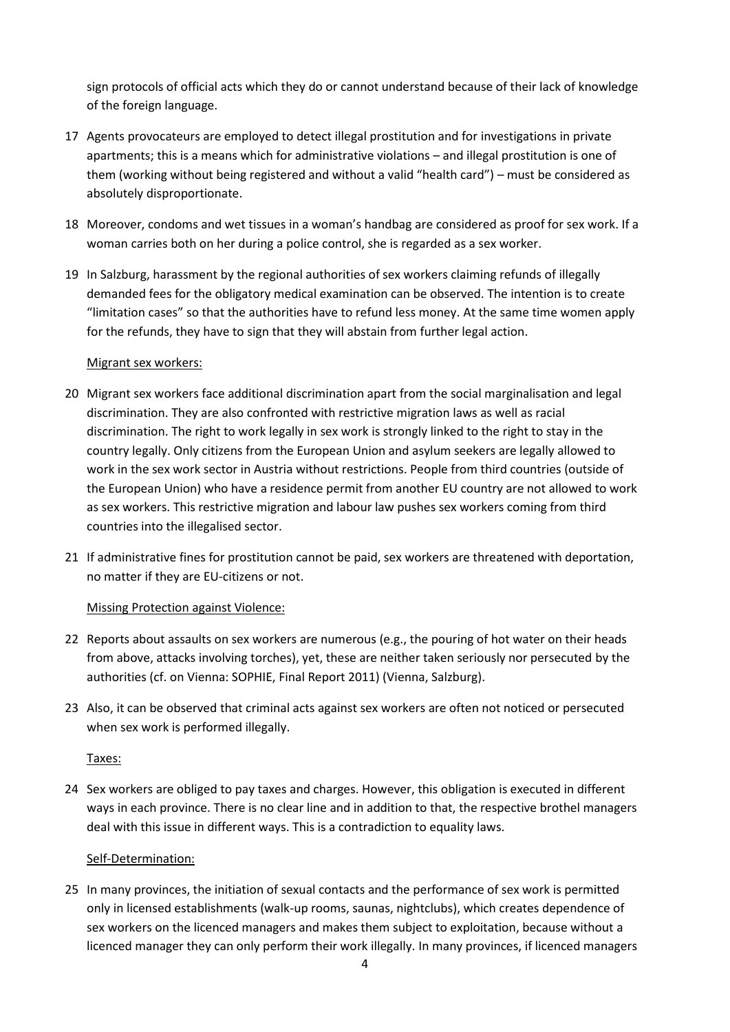sign protocols of official acts which they do or cannot understand because of their lack of knowledge of the foreign language.

- 17 Agents provocateurs are employed to detect illegal prostitution and for investigations in private apartments; this is a means which for administrative violations – and illegal prostitution is one of them (working without being registered and without a valid "health card") – must be considered as absolutely disproportionate.
- 18 Moreover, condoms and wet tissues in a woman's handbag are considered as proof for sex work. If a woman carries both on her during a police control, she is regarded as a sex worker.
- 19 In Salzburg, harassment by the regional authorities of sex workers claiming refunds of illegally demanded fees for the obligatory medical examination can be observed. The intention is to create "limitation cases" so that the authorities have to refund less money. At the same time women apply for the refunds, they have to sign that they will abstain from further legal action.

## Migrant sex workers:

- 20 Migrant sex workers face additional discrimination apart from the social marginalisation and legal discrimination. They are also confronted with restrictive migration laws as well as racial discrimination. The right to work legally in sex work is strongly linked to the right to stay in the country legally. Only citizens from the European Union and asylum seekers are legally allowed to work in the sex work sector in Austria without restrictions. People from third countries (outside of the European Union) who have a residence permit from another EU country are not allowed to work as sex workers. This restrictive migration and labour law pushes sex workers coming from third countries into the illegalised sector.
- 21 If administrative fines for prostitution cannot be paid, sex workers are threatened with deportation, no matter if they are EU-citizens or not.

# Missing Protection against Violence:

- 22 Reports about assaults on sex workers are numerous (e.g., the pouring of hot water on their heads from above, attacks involving torches), yet, these are neither taken seriously nor persecuted by the authorities (cf. on Vienna: SOPHIE, Final Report 2011) (Vienna, Salzburg).
- 23 Also, it can be observed that criminal acts against sex workers are often not noticed or persecuted when sex work is performed illegally.

## Taxes:

24 Sex workers are obliged to pay taxes and charges. However, this obligation is executed in different ways in each province. There is no clear line and in addition to that, the respective brothel managers deal with this issue in different ways. This is a contradiction to equality laws.

## Self-Determination:

25 In many provinces, the initiation of sexual contacts and the performance of sex work is permitted only in licensed establishments (walk-up rooms, saunas, nightclubs), which creates dependence of sex workers on the licenced managers and makes them subject to exploitation, because without a licenced manager they can only perform their work illegally. In many provinces, if licenced managers